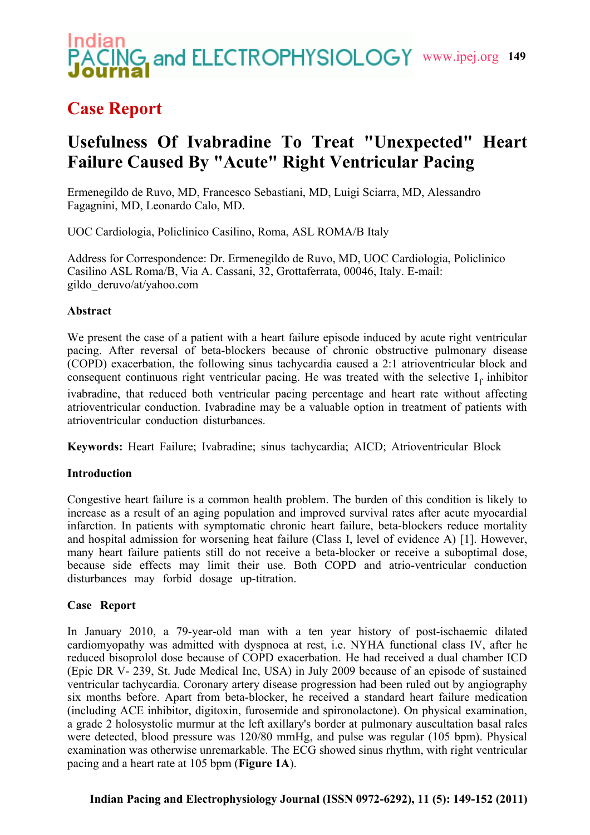# **WG and ELECTROPHYSIOLOGY** www.ipej.org 149

### **Case Report**

## **Usefulness Of Ivabradine To Treat "Unexpected" Heart Failure Caused By "Acute" Right Ventricular Pacing**

Ermenegildo de Ruvo, MD, Francesco Sebastiani, MD, Luigi Sciarra, MD, Alessandro Fagagnini, MD, Leonardo Calo, MD.

UOC Cardiologia, Policlinico Casilino, Roma, ASL ROMA/B Italy

Address for Correspondence: Dr. Ermenegildo de Ruvo, MD, UOC Cardiologia, Policlinico Casilino ASL Roma/B, Via A. Cassani, 32, Grottaferrata, 00046, Italy. E-mail: gildo\_deruvo/at/yahoo.com

#### **Abstract**

We present the case of a patient with a heart failure episode induced by acute right ventricular pacing. After reversal of beta-blockers because of chronic obstructive pulmonary disease (COPD) exacerbation, the following sinus tachycardia caused a 2:1 atrioventricular block and consequent continuous right ventricular pacing. He was treated with the selective  $I_f$  inhibitor ivabradine, that reduced both ventricular pacing percentage and heart rate without affecting atrioventricular conduction. Ivabradine may be a valuable option in treatment of patients with atrioventricular conduction disturbances.

**Keywords:** Heart Failure; Ivabradine; sinus tachycardia; AICD; Atrioventricular Block

#### **Introduction**

Congestive heart failure is a common health problem. The burden of this condition is likely to increase as a result of an aging population and improved survival rates after acute myocardial infarction. In patients with symptomatic chronic heart failure, beta-blockers reduce mortality and hospital admission for worsening heat failure (Class I, level of evidence A) [1]. However, many heart failure patients still do not receive a beta-blocker or receive a suboptimal dose, because side effects may limit their use. Both COPD and atrio-ventricular conduction disturbances may forbid dosage up-titration.

#### **Case Report**

In January 2010, a 79-year-old man with a ten year history of post-ischaemic dilated cardiomyopathy was admitted with dyspnoea at rest, i.e. NYHA functional class IV, after he reduced bisoprolol dose because of COPD exacerbation. He had received a dual chamber ICD (Epic DR V- 239, St. Jude Medical Inc, USA) in July 2009 because of an episode of sustained ventricular tachycardia. Coronary artery disease progression had been ruled out by angiography six months before. Apart from beta-blocker, he received a standard heart failure medication (including ACE inhibitor, digitoxin, furosemide and spironolactone). On physical examination, a grade 2 holosystolic murmur at the left axillary's border at pulmonary auscultation basal rales were detected, blood pressure was 120/80 mmHg, and pulse was regular (105 bpm). Physical examination was otherwise unremarkable. The ECG showed sinus rhythm, with right ventricular pacing and a heart rate at 105 bpm (**Figure 1A**).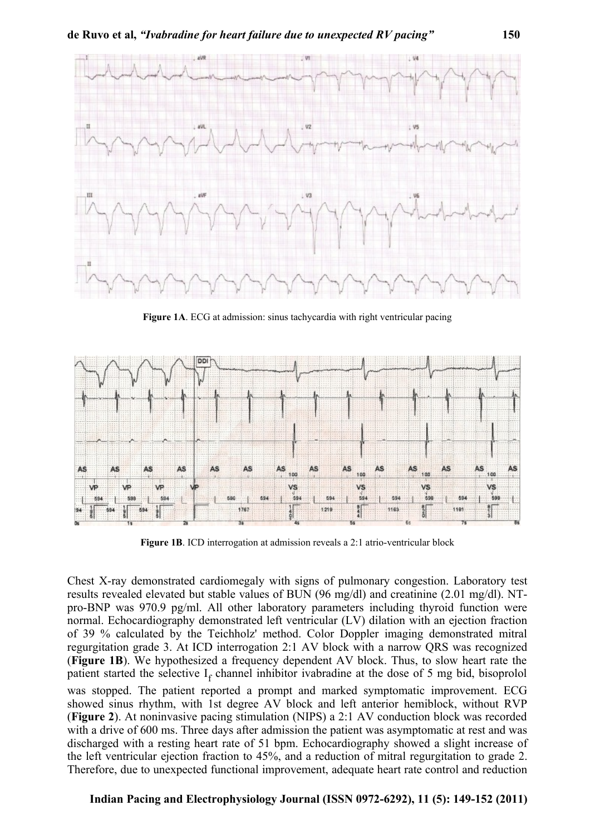

**Figure 1A**. ECG at admission: sinus tachycardia with right ventricular pacing



**Figure 1B**. ICD interrogation at admission reveals a 2:1 atrio-ventricular block

Chest X-ray demonstrated cardiomegaly with signs of pulmonary congestion. Laboratory test results revealed elevated but stable values of BUN (96 mg/dl) and creatinine (2.01 mg/dl). NTpro-BNP was 970.9 pg/ml. All other laboratory parameters including thyroid function were normal. Echocardiography demonstrated left ventricular (LV) dilation with an ejection fraction of 39 % calculated by the Teichholz' method. Color Doppler imaging demonstrated mitral regurgitation grade 3. At ICD interrogation 2:1 AV block with a narrow QRS was recognized (**Figure 1B**). We hypothesized a frequency dependent AV block. Thus, to slow heart rate the patient started the selective  $I_f$  channel inhibitor ivabradine at the dose of 5 mg bid, bisoprolol was stopped. The patient reported a prompt and marked symptomatic improvement. ECG showed sinus rhythm, with 1st degree AV block and left anterior hemiblock, without RVP (**Figure 2**). At noninvasive pacing stimulation (NIPS) a 2:1 AV conduction block was recorded with a drive of 600 ms. Three days after admission the patient was asymptomatic at rest and was discharged with a resting heart rate of 51 bpm. Echocardiography showed a slight increase of the left ventricular ejection fraction to 45%, and a reduction of mitral regurgitation to grade 2. Therefore, due to unexpected functional improvement, adequate heart rate control and reduction

#### **Indian Pacing and Electrophysiology Journal (ISSN 0972-6292), 11 (5): 149-152 (2011)**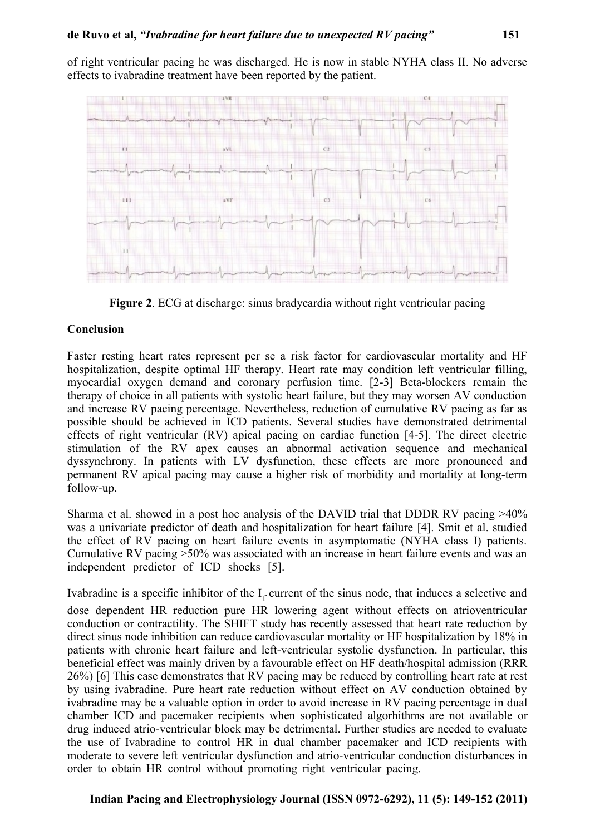of right ventricular pacing he was discharged. He is now in stable NYHA class II. No adverse effects to ivabradine treatment have been reported by the patient.



**Figure 2**. ECG at discharge: sinus bradycardia without right ventricular pacing

#### **Conclusion**

Faster resting heart rates represent per se a risk factor for cardiovascular mortality and HF hospitalization, despite optimal HF therapy. Heart rate may condition left ventricular filling, myocardial oxygen demand and coronary perfusion time. [2-3] Beta-blockers remain the therapy of choice in all patients with systolic heart failure, but they may worsen AV conduction and increase RV pacing percentage. Nevertheless, reduction of cumulative RV pacing as far as possible should be achieved in ICD patients. Several studies have demonstrated detrimental effects of right ventricular (RV) apical pacing on cardiac function [4-5]. The direct electric stimulation of the RV apex causes an abnormal activation sequence and mechanical dyssynchrony. In patients with LV dysfunction, these effects are more pronounced and permanent RV apical pacing may cause a higher risk of morbidity and mortality at long-term follow-up.

Sharma et al. showed in a post hoc analysis of the DAVID trial that DDDR RV pacing >40% was a univariate predictor of death and hospitalization for heart failure [4]. Smit et al. studied the effect of RV pacing on heart failure events in asymptomatic (NYHA class I) patients. Cumulative RV pacing >50% was associated with an increase in heart failure events and was an independent predictor of ICD shocks [5].

Ivabradine is a specific inhibitor of the  $I_f$  current of the sinus node, that induces a selective and

dose dependent HR reduction pure HR lowering agent without effects on atrioventricular conduction or contractility. The SHIFT study has recently assessed that heart rate reduction by direct sinus node inhibition can reduce cardiovascular mortality or HF hospitalization by 18% in patients with chronic heart failure and left-ventricular systolic dysfunction. In particular, this beneficial effect was mainly driven by a favourable effect on HF death/hospital admission (RRR 26%) [6] This case demonstrates that RV pacing may be reduced by controlling heart rate at rest by using ivabradine. Pure heart rate reduction without effect on AV conduction obtained by ivabradine may be a valuable option in order to avoid increase in RV pacing percentage in dual chamber ICD and pacemaker recipients when sophisticated algorhithms are not available or drug induced atrio-ventricular block may be detrimental. Further studies are needed to evaluate the use of Ivabradine to control HR in dual chamber pacemaker and ICD recipients with moderate to severe left ventricular dysfunction and atrio-ventricular conduction disturbances in order to obtain HR control without promoting right ventricular pacing.